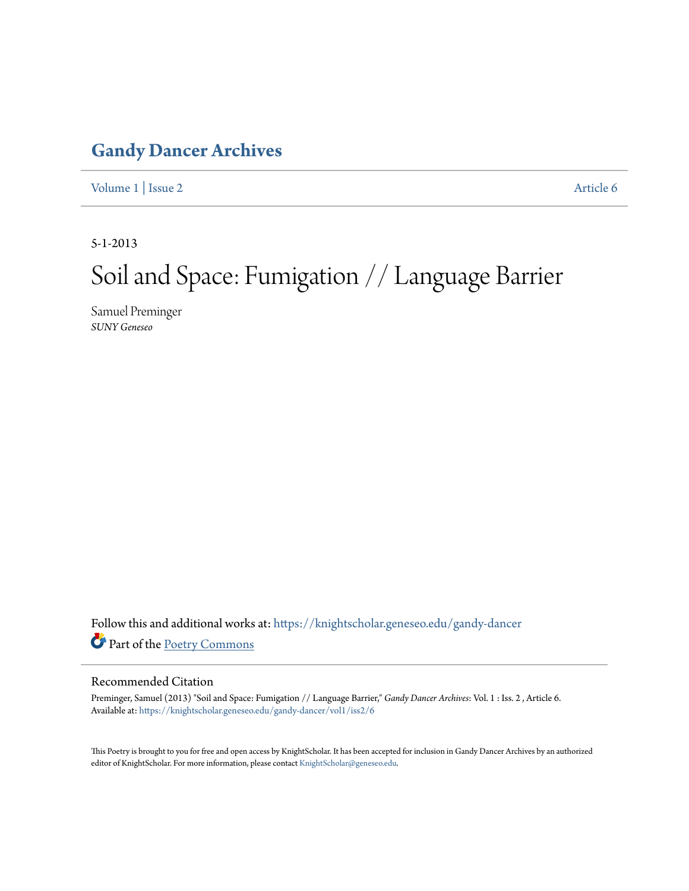### **[Gandy Dancer Archives](https://knightscholar.geneseo.edu/gandy-dancer?utm_source=knightscholar.geneseo.edu%2Fgandy-dancer%2Fvol1%2Fiss2%2F6&utm_medium=PDF&utm_campaign=PDFCoverPages)**

[Volume 1](https://knightscholar.geneseo.edu/gandy-dancer/vol1?utm_source=knightscholar.geneseo.edu%2Fgandy-dancer%2Fvol1%2Fiss2%2F6&utm_medium=PDF&utm_campaign=PDFCoverPages) | [Issue 2](https://knightscholar.geneseo.edu/gandy-dancer/vol1/iss2?utm_source=knightscholar.geneseo.edu%2Fgandy-dancer%2Fvol1%2Fiss2%2F6&utm_medium=PDF&utm_campaign=PDFCoverPages) [Article 6](https://knightscholar.geneseo.edu/gandy-dancer/vol1/iss2/6?utm_source=knightscholar.geneseo.edu%2Fgandy-dancer%2Fvol1%2Fiss2%2F6&utm_medium=PDF&utm_campaign=PDFCoverPages)

5-1-2013

### Soil and Space: Fumigation // Language Barrier

Samuel Preminger *SUNY Geneseo*

Follow this and additional works at: [https://knightscholar.geneseo.edu/gandy-dancer](https://knightscholar.geneseo.edu/gandy-dancer?utm_source=knightscholar.geneseo.edu%2Fgandy-dancer%2Fvol1%2Fiss2%2F6&utm_medium=PDF&utm_campaign=PDFCoverPages) Part of the [Poetry Commons](http://network.bepress.com/hgg/discipline/1153?utm_source=knightscholar.geneseo.edu%2Fgandy-dancer%2Fvol1%2Fiss2%2F6&utm_medium=PDF&utm_campaign=PDFCoverPages)

#### Recommended Citation

Preminger, Samuel (2013) "Soil and Space: Fumigation // Language Barrier," *Gandy Dancer Archives*: Vol. 1 : Iss. 2 , Article 6. Available at: [https://knightscholar.geneseo.edu/gandy-dancer/vol1/iss2/6](https://knightscholar.geneseo.edu/gandy-dancer/vol1/iss2/6?utm_source=knightscholar.geneseo.edu%2Fgandy-dancer%2Fvol1%2Fiss2%2F6&utm_medium=PDF&utm_campaign=PDFCoverPages)

This Poetry is brought to you for free and open access by KnightScholar. It has been accepted for inclusion in Gandy Dancer Archives by an authorized editor of KnightScholar. For more information, please contact [KnightScholar@geneseo.edu.](mailto:KnightScholar@geneseo.edu)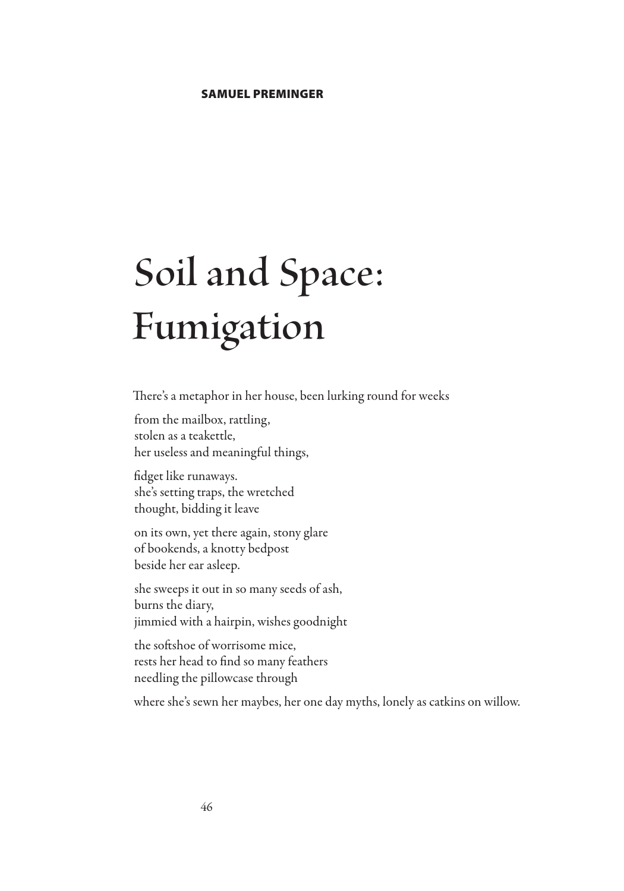# **Soil and Space: Fumigation**

There's a metaphor in her house, been lurking round for weeks

from the mailbox, rattling, stolen as a teakettle, her useless and meaningful things,

fidget like runaways. she's setting traps, the wretched thought, bidding it leave

on its own, yet there again, stony glare of bookends, a knotty bedpost beside her ear asleep.

she sweeps it out in so many seeds of ash, burns the diary, jimmied with a hairpin, wishes goodnight

the softshoe of worrisome mice, rests her head to find so many feathers needling the pillowcase through

where she's sewn her maybes, her one day myths, lonely as catkins on willow.